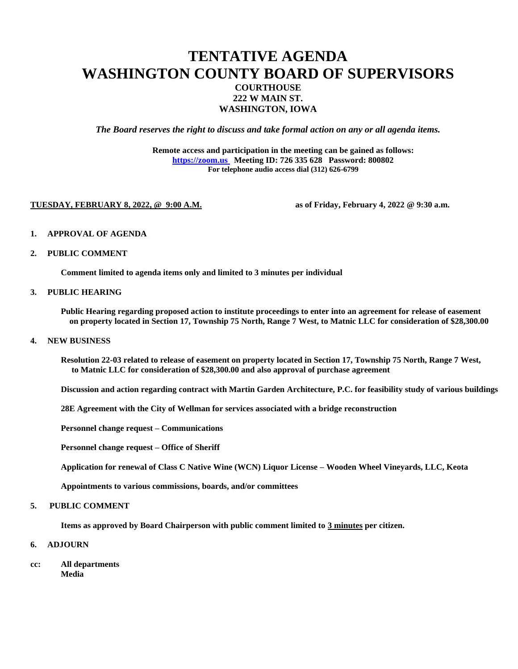# **TENTATIVE AGENDA WASHINGTON COUNTY BOARD OF SUPERVISORS COURTHOUSE 222 W MAIN ST. WASHINGTON, IOWA**

*The Board reserves the right to discuss and take formal action on any or all agenda items.*

**Remote access and participation in the meeting can be gained as follows: [https://zoom.us](https://zoom.us/) Meeting ID: 726 335 628 Password: 800802 For telephone audio access dial (312) 626-6799**

#### **TUESDAY, FEBRUARY 8, 2022, @ 9:00 A.M. as of Friday, February 4, 2022 @ 9:30 a.m.**

- **1. APPROVAL OF AGENDA**
- **2. PUBLIC COMMENT**

**Comment limited to agenda items only and limited to 3 minutes per individual**

## **3. PUBLIC HEARING**

**Public Hearing regarding proposed action to institute proceedings to enter into an agreement for release of easement on property located in Section 17, Township 75 North, Range 7 West, to Matnic LLC for consideration of \$28,300.00** 

#### **4. NEW BUSINESS**

**Resolution 22-03 related to release of easement on property located in Section 17, Township 75 North, Range 7 West, to Matnic LLC for consideration of \$28,300.00 and also approval of purchase agreement** 

**Discussion and action regarding contract with Martin Garden Architecture, P.C. for feasibility study of various buildings**

**28E Agreement with the City of Wellman for services associated with a bridge reconstruction**

**Personnel change request – Communications**

**Personnel change request – Office of Sheriff**

**Application for renewal of Class C Native Wine (WCN) Liquor License – Wooden Wheel Vineyards, LLC, Keota**

**Appointments to various commissions, boards, and/or committees**

## **5. PUBLIC COMMENT**

**Items as approved by Board Chairperson with public comment limited to 3 minutes per citizen.**

- **6. ADJOURN**
- **cc: All departments Media**